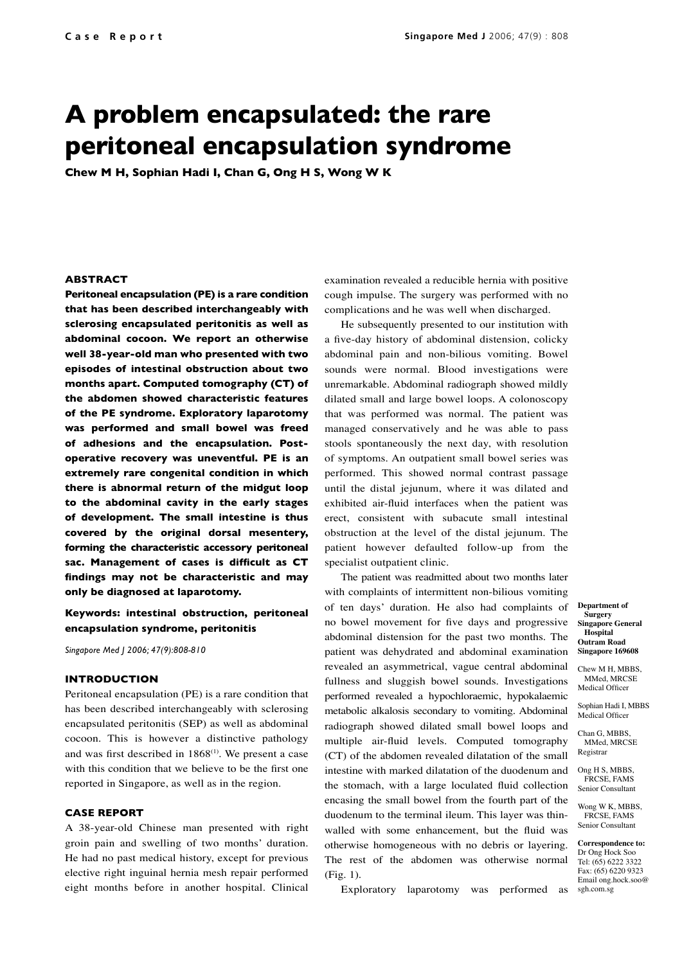# **A problem encapsulated: the rare peritoneal encapsulation syndrome**

**Chew M H, Sophian Hadi I, Chan G, Ong H S, Wong W K**

### **ABSTRACT**

**Peritoneal encapsulation (PE) is a rare condition that has been described interchangeably with sclerosing encapsulated peritonitis as well as abdominal cocoon. We report an otherwise well 38-year-old man who presented with two episodes of intestinal obstruction about two months apart. Computed tomography (CT) of the abdomen showed characteristic features of the PE syndrome. Exploratory laparotomy was performed and small bowel was freed of adhesions and the encapsulation. Postoperative recovery was uneventful. PE is an extremely rare congenital condition in which there is abnormal return of the midgut loop to the abdominal cavity in the early stages of development. The small intestine is thus covered by the original dorsal mesentery, forming the characteristic accessory peritoneal sac. Management of cases is difficult as CT findings may not be characteristic and may only be diagnosed at laparotomy.** 

## **Keywords: intestinal obstruction, peritoneal encapsulation syndrome, peritonitis**

*Singapore Med J 2006; 47(9):808-810*

### **INTRODUCTION**

Peritoneal encapsulation (PE) is a rare condition that has been described interchangeably with sclerosing encapsulated peritonitis (SEP) as well as abdominal cocoon. This is however a distinctive pathology and was first described in  $1868^{(1)}$ . We present a case with this condition that we believe to be the first one reported in Singapore, as well as in the region.

## **CASE REPORT**

A 38-year-old Chinese man presented with right groin pain and swelling of two months' duration. He had no past medical history, except for previous elective right inguinal hernia mesh repair performed eight months before in another hospital. Clinical examination revealed a reducible hernia with positive cough impulse. The surgery was performed with no complications and he was well when discharged.

He subsequently presented to our institution with a five-day history of abdominal distension, colicky abdominal pain and non-bilious vomiting. Bowel sounds were normal. Blood investigations were unremarkable. Abdominal radiograph showed mildly dilated small and large bowel loops. A colonoscopy that was performed was normal. The patient was managed conservatively and he was able to pass stools spontaneously the next day, with resolution of symptoms. An outpatient small bowel series was performed. This showed normal contrast passage until the distal jejunum, where it was dilated and exhibited air-fluid interfaces when the patient was erect, consistent with subacute small intestinal obstruction at the level of the distal jejunum. The patient however defaulted follow-up from the specialist outpatient clinic.

The patient was readmitted about two months later with complaints of intermittent non-bilious vomiting of ten days' duration. He also had complaints of no bowel movement for five days and progressive abdominal distension for the past two months. The patient was dehydrated and abdominal examination revealed an asymmetrical, vague central abdominal fullness and sluggish bowel sounds. Investigations performed revealed a hypochloraemic, hypokalaemic metabolic alkalosis secondary to vomiting. Abdominal radiograph showed dilated small bowel loops and multiple air-fluid levels. Computed tomography (CT) of the abdomen revealed dilatation of the small intestine with marked dilatation of the duodenum and the stomach, with a large loculated fluid collection encasing the small bowel from the fourth part of the duodenum to the terminal ileum. This layer was thinwalled with some enhancement, but the fluid was otherwise homogeneous with no debris or layering. The rest of the abdomen was otherwise normal (Fig. 1).

Exploratory laparotomy was performed as

**Department of Surgery Singapore General Hospital Outram Road Singapore 169608**

Chew M H, MBBS, MMed, MRCSE Medical Officer

Sophian Hadi I, MBBS Medical Officer

Chan G, MBBS, MMed, MRCSE Registrar

Ong H S, MRRS FRCSE, FAMS Senior Consultant

Wong W K, MBBS, FRCSE, FAMS Senior Consultant

**Correspondence to:** Dr Ong Hock Soo Tel: (65) 6222 3322 Fax: (65) 6220 9323 Email ong.hock.soo@ sgh.com.sg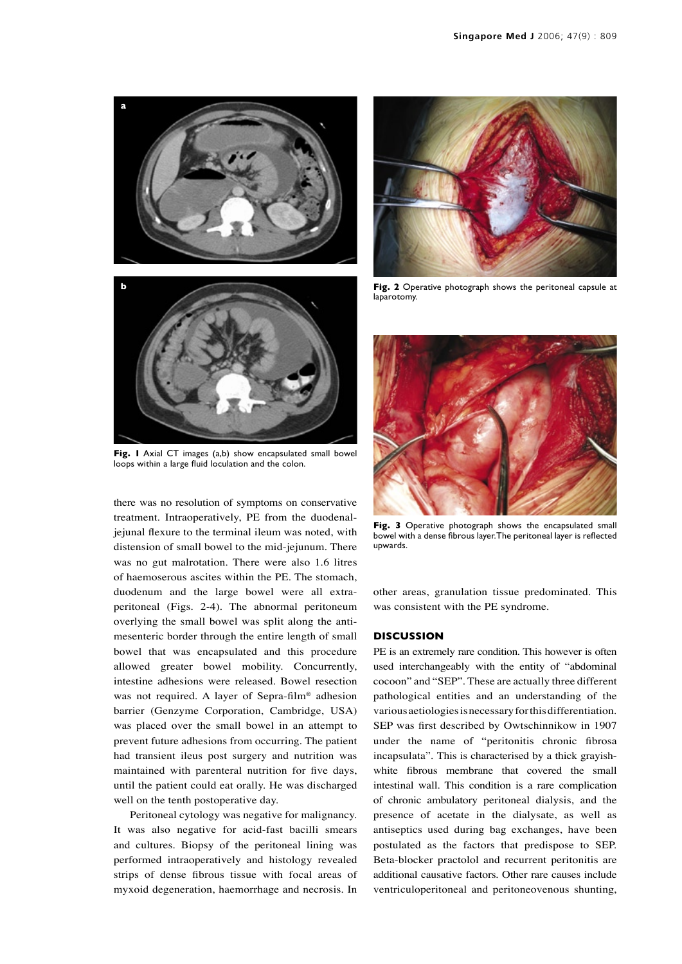

**Fig. 1** Axial CT images (a,b) show encapsulated small bowel loops within a large fluid loculation and the colon.

there was no resolution of symptoms on conservative treatment. Intraoperatively, PE from the duodenaljejunal flexure to the terminal ileum was noted, with distension of small bowel to the mid-jejunum. There was no gut malrotation. There were also 1.6 litres of haemoserous ascites within the PE. The stomach, duodenum and the large bowel were all extraperitoneal (Figs. 2-4). The abnormal peritoneum overlying the small bowel was split along the antimesenteric border through the entire length of small bowel that was encapsulated and this procedure allowed greater bowel mobility. Concurrently, intestine adhesions were released. Bowel resection was not required. A layer of Sepra-film® adhesion barrier (Genzyme Corporation, Cambridge, USA) was placed over the small bowel in an attempt to prevent future adhesions from occurring. The patient had transient ileus post surgery and nutrition was maintained with parenteral nutrition for five days, until the patient could eat orally. He was discharged well on the tenth postoperative day.

Peritoneal cytology was negative for malignancy. It was also negative for acid-fast bacilli smears and cultures. Biopsy of the peritoneal lining was performed intraoperatively and histology revealed strips of dense fibrous tissue with focal areas of myxoid degeneration, haemorrhage and necrosis. In



**Fig. 2** Operative photograph shows the peritoneal capsule at laparotomy.



Fig. 3 Operative photograph shows the encapsulated small bowel with a dense fibrous layer. The peritoneal layer is reflected upwards.

other areas, granulation tissue predominated. This was consistent with the PE syndrome.

#### **DISCUSSION**

PE is an extremely rare condition. This however is often used interchangeably with the entity of "abdominal cocoon" and "SEP". These are actually three different pathological entities and an understanding of the various aetiologies is necessary for this differentiation. SEP was first described by Owtschinnikow in 1907 under the name of "peritonitis chronic fibrosa incapsulata". This is characterised by a thick grayishwhite fibrous membrane that covered the small intestinal wall. This condition is a rare complication of chronic ambulatory peritoneal dialysis, and the presence of acetate in the dialysate, as well as antiseptics used during bag exchanges, have been postulated as the factors that predispose to SEP. Beta-blocker practolol and recurrent peritonitis are additional causative factors. Other rare causes include ventriculoperitoneal and peritoneovenous shunting,